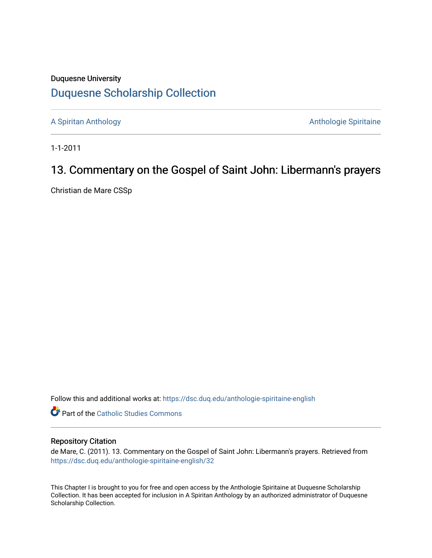## Duquesne University [Duquesne Scholarship Collection](https://dsc.duq.edu/)

[A Spiritan Anthology](https://dsc.duq.edu/anthologie-spiritaine-english) **Anthology** Anthologie Spiritaine

1-1-2011

# 13. Commentary on the Gospel of Saint John: Libermann's prayers

Christian de Mare CSSp

Follow this and additional works at: [https://dsc.duq.edu/anthologie-spiritaine-english](https://dsc.duq.edu/anthologie-spiritaine-english?utm_source=dsc.duq.edu%2Fanthologie-spiritaine-english%2F32&utm_medium=PDF&utm_campaign=PDFCoverPages)

**Part of the [Catholic Studies Commons](http://network.bepress.com/hgg/discipline/1294?utm_source=dsc.duq.edu%2Fanthologie-spiritaine-english%2F32&utm_medium=PDF&utm_campaign=PDFCoverPages)** 

#### Repository Citation

de Mare, C. (2011). 13. Commentary on the Gospel of Saint John: Libermann's prayers. Retrieved from [https://dsc.duq.edu/anthologie-spiritaine-english/32](https://dsc.duq.edu/anthologie-spiritaine-english/32?utm_source=dsc.duq.edu%2Fanthologie-spiritaine-english%2F32&utm_medium=PDF&utm_campaign=PDFCoverPages) 

This Chapter I is brought to you for free and open access by the Anthologie Spiritaine at Duquesne Scholarship Collection. It has been accepted for inclusion in A Spiritan Anthology by an authorized administrator of Duquesne Scholarship Collection.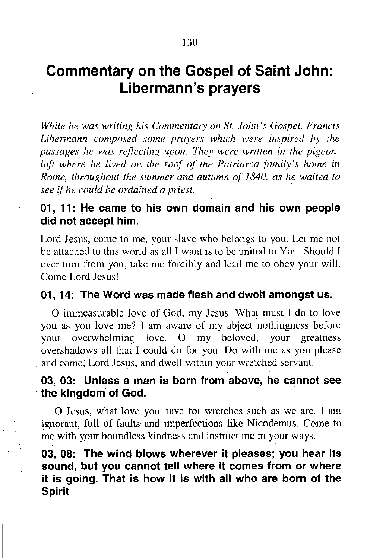## **Commentary on the Gospel of Saint John: Libermann's prayers**

*While he was writing his Commentary on St. John's Gospel, Francis Libermann composed some prayers which were inspired by the passages he was reflecting upon. Ihey were written in the pigeonloft where he lived on the roof of the Patriarca family's home in Rome, throughout the summer and autumn of 1840, as he waited to see if he could be ordained a priest. .*

### **01, 11: He came to his own domain and his own people did not accept him.**

Lord Jesus, come to me, your slavc who belongs to you. Let me not be attached to this world as all I want is to be united to You. Should I evcr turn from you, take mc forcibly and lead me to obey your will. Come Lord Jesus!

#### **01, 14: The Word was made flesh and dwelt amongst us.**

a immeasurable lovc of God, my Jesus. What must I do to love you as you love me? I am aware of my abject nothingness before your overwhelming love. O my beloved, your greatness overshadows all that I could do for you. Do with mc as you plcasc and come; Lord Jesus, and dwell within your wretched servant.

#### **03, 03: Unless a man is born from above, he cannot see** . **the kingdom of God.**

O Jesus, what love you have for wretches such as we are. I am ignorant, full of faults and imperfections like Nicodemus. Come to me with your boundless kindness and instruct me in your ways.

**03, 08: The wind blows wherever it pleases; you hear its sound, but you cannot tell where it comes from or where it is going. That is how it is with all who are born of the Spirit**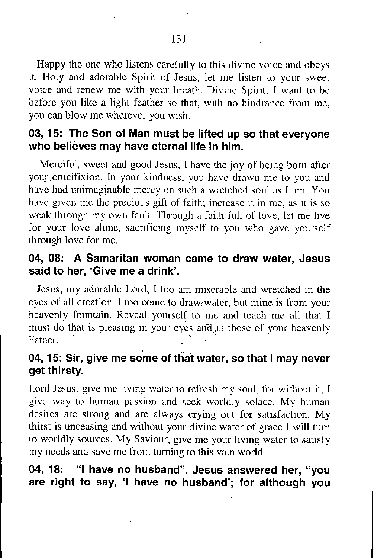Happy the one who listens carefully to this divine voice and obeys it. Holy and adorable Spirit of Jesus, let me listen to your sweet voice and renew me with your breath. Divine Spirit, I want to be before you like a light feather so that, with no hindrance from me, you can blow me wherever you wish.

## **03,15: The Son of Man must be lifted up so that everyone who believes may have** eternal life **in him.**

Merciful, sweet and good Jesus, I have the joy of being born after your crucifixion. In your kindness, you have drawn me to you and have had unimaginable mercy on such a wretched soul as I am. You have given me the precious gift of faith; increase it in me, as it is so weak through my own fault. Through a faith full of love, let me live for your love alone, sacrificing myself to you who gave yourself through love for me.

### **04, 08: A Samaritan woman came to draw water, Jesus said to her, 'Give me a drink'.**

Jesus, my adorable Lord, I too am miserable and wretched in the eyes of all creation. I too come to draw,water, but mine is from your heavenly fountain. Reyeal yourself to me and teach me all that I must do that is pleasing in your eyes and in those of your heavenly I ather.

## **04, 15: Sir, give me so'me of tha't water, so that I may never get thirsty.**

Lord Jesus, give me living water to refresh my soul, for without it, I give way to human passion and seek worldly solace. My human desires are strong and are always crying out for satisfaction. My thirst is unceasing and without your divine water of grace I will turn to worldly sources. My Saviour, give me your living water to satisfy my needs and save me from turning to this vain world.

**04, 18: "I have no husband". Jesus answered her, "you are right to say, 'I have no husband'; for although you**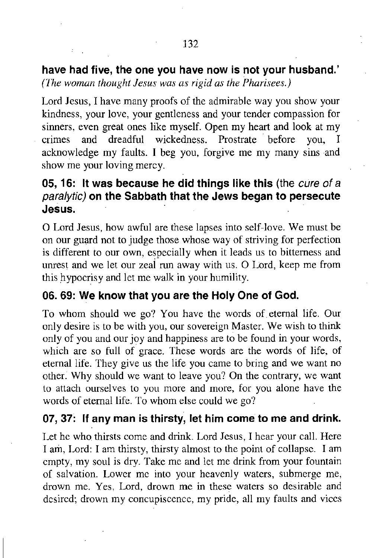**have had five, the one you have now is not your husband.'** *(The woman thought Jesus was as rigid as the Pharisees.)*

Lord Jesus, I have many proofs of the admirable way you show your kindness, your love, your gentleness and your tender compassion for sinners, even great ones like myself. Open my heart and look at my crimes and dreadful wickedness. Prostrate' before you, I acknowledge my faults. I beg you, forgive me my many sins and show me your loving mercy.

## **05, 16: It was because he did things like this (the** *cure of* a *paralytic)* **on the Sabbath that the Jews began to persecute Jesus.**

a Lord Jesus, how awful are these lapses into self-love. We must be on our guard not to judge those whose way of striving for perfection is different to our own, especially when it leads us to bitterness and unrest and we let our zeal run away with us. O Lord, keep me from this hypocrisy and let me walk in your humility.

#### **06. 69: We know that you are the Holy One of God.**

To whom should we go? You have the words of.eternal life. Our only desire is to be with you, our sovereign Master. We wish to think only of you and our joy and happiness are to be found in your words, which are so full of grace. These words are the words of life, of eternal life. They give us the life you came to bring and we want no other: Why should we want to leave you? On the contrary, we want to attach ourselves to you more and more, for you alone have the words of eternal life. To whom else could we go?

#### **07, 37: If any man is thirsty, let him come to me and drink.**

Let he who thirsts come and drink. Lord Jesus, I hear your call. Here I am, Lord: I am thirsty, thirsty almost to the point of collapse. I am cmpty, my soul is dry. Take me and let me drink from your fountain of salvation. Lower me into your heavenly waters, submerge me, drown me. Yes, Lord, drown me in these waters so desirable and desircd; drown my concupiscence, my pride, all my faults and vices